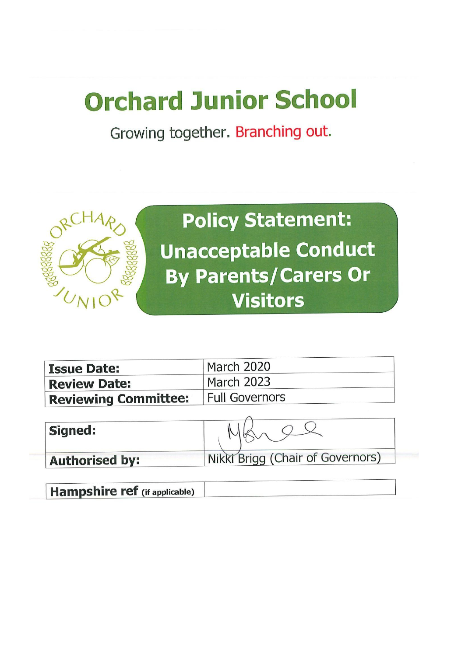# **Orchard Junior School**

Growing together. Branching out.



**Policy Statement: Unacceptable Conduct By Parents/Carers Or Visitors** 

| <b>Issue Date:</b>          | March 2020            |  |
|-----------------------------|-----------------------|--|
| <b>Review Date:</b>         | March 2023            |  |
| <b>Reviewing Committee:</b> | <b>Full Governors</b> |  |

| Signed:               |                                  |
|-----------------------|----------------------------------|
| <b>Authorised by:</b> | Nikki Brigg (Chair of Governors) |

**Hampshire ref** (if applicable)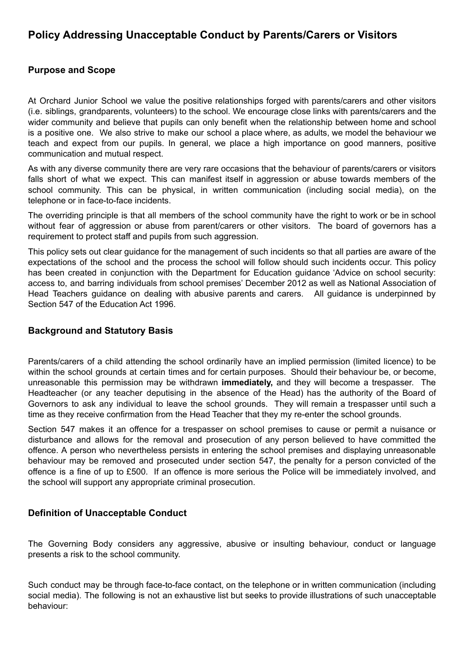# **Policy Addressing Unacceptable Conduct by Parents/Carers or Visitors**

# **Purpose and Scope**

At Orchard Junior School we value the positive relationships forged with parents/carers and other visitors (i.e. siblings, grandparents, volunteers) to the school. We encourage close links with parents/carers and the wider community and believe that pupils can only benefit when the relationship between home and school is a positive one. We also strive to make our school a place where, as adults, we model the behaviour we teach and expect from our pupils. In general, we place a high importance on good manners, positive communication and mutual respect.

As with any diverse community there are very rare occasions that the behaviour of parents/carers or visitors falls short of what we expect. This can manifest itself in aggression or abuse towards members of the school community. This can be physical, in written communication (including social media), on the telephone or in face-to-face incidents.

The overriding principle is that all members of the school community have the right to work or be in school without fear of aggression or abuse from parent/carers or other visitors. The board of governors has a requirement to protect staff and pupils from such aggression.

This policy sets out clear guidance for the management of such incidents so that all parties are aware of the expectations of the school and the process the school will follow should such incidents occur. This policy has been created in conjunction with the Department for Education guidance 'Advice on school security: access to, and barring individuals from school premises' December 2012 as well as National Association of Head Teachers guidance on dealing with abusive parents and carers. All guidance is underpinned by Section 547 of the Education Act 1996.

#### **Background and Statutory Basis**

Parents/carers of a child attending the school ordinarily have an implied permission (limited licence) to be within the school grounds at certain times and for certain purposes. Should their behaviour be, or become, unreasonable this permission may be withdrawn **immediately,** and they will become a trespasser. The Headteacher (or any teacher deputising in the absence of the Head) has the authority of the Board of Governors to ask any individual to leave the school grounds. They will remain a trespasser until such a time as they receive confirmation from the Head Teacher that they my re-enter the school grounds.

Section 547 makes it an offence for a trespasser on school premises to cause or permit a nuisance or disturbance and allows for the removal and prosecution of any person believed to have committed the offence. A person who nevertheless persists in entering the school premises and displaying unreasonable behaviour may be removed and prosecuted under section 547, the penalty for a person convicted of the offence is a fine of up to £500. If an offence is more serious the Police will be immediately involved, and the school will support any appropriate criminal prosecution.

#### **Definition of Unacceptable Conduct**

The Governing Body considers any aggressive, abusive or insulting behaviour, conduct or language presents a risk to the school community.

Such conduct may be through face-to-face contact, on the telephone or in written communication (including social media). The following is not an exhaustive list but seeks to provide illustrations of such unacceptable behaviour: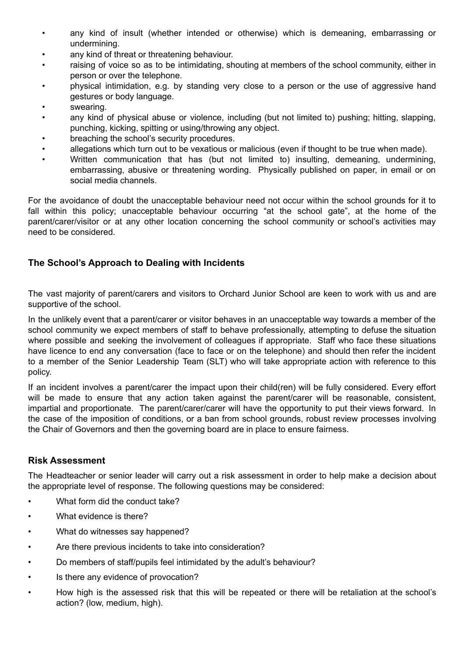- any kind of insult (whether intended or otherwise) which is demeaning, embarrassing or undermining.
- any kind of threat or threatening behaviour.
- raising of voice so as to be intimidating, shouting at members of the school community, either in person or over the telephone.
- physical intimidation, e.g. by standing very close to a person or the use of aggressive hand gestures or body language.
- swearing.
- any kind of physical abuse or violence, including (but not limited to) pushing; hitting, slapping, punching, kicking, spitting or using/throwing any object.
- breaching the school's security procedures.
- allegations which turn out to be vexatious or malicious (even if thought to be true when made).
- Written communication that has (but not limited to) insulting, demeaning, undermining, embarrassing, abusive or threatening wording. Physically published on paper, in email or on social media channels.

For the avoidance of doubt the unacceptable behaviour need not occur within the school grounds for it to fall within this policy; unacceptable behaviour occurring "at the school gate", at the home of the parent/carer/visitor or at any other location concerning the school community or school's activities may need to be considered.

# **The School's Approach to Dealing with Incidents**

The vast majority of parent/carers and visitors to Orchard Junior School are keen to work with us and are supportive of the school.

In the unlikely event that a parent/carer or visitor behaves in an unacceptable way towards a member of the school community we expect members of staff to behave professionally, attempting to defuse the situation where possible and seeking the involvement of colleagues if appropriate. Staff who face these situations have licence to end any conversation (face to face or on the telephone) and should then refer the incident to a member of the Senior Leadership Team (SLT) who will take appropriate action with reference to this policy.

If an incident involves a parent/carer the impact upon their child(ren) will be fully considered. Every effort will be made to ensure that any action taken against the parent/carer will be reasonable, consistent, impartial and proportionate. The parent/carer/carer will have the opportunity to put their views forward. In the case of the imposition of conditions, or a ban from school grounds, robust review processes involving the Chair of Governors and then the governing board are in place to ensure fairness.

#### **Risk Assessment**

The Headteacher or senior leader will carry out a risk assessment in order to help make a decision about the appropriate level of response. The following questions may be considered:

- What form did the conduct take?
- What evidence is there?
- What do witnesses say happened?
- Are there previous incidents to take into consideration?
- Do members of staff/pupils feel intimidated by the adult's behaviour?
- Is there any evidence of provocation?
- How high is the assessed risk that this will be repeated or there will be retaliation at the school's action? (low, medium, high).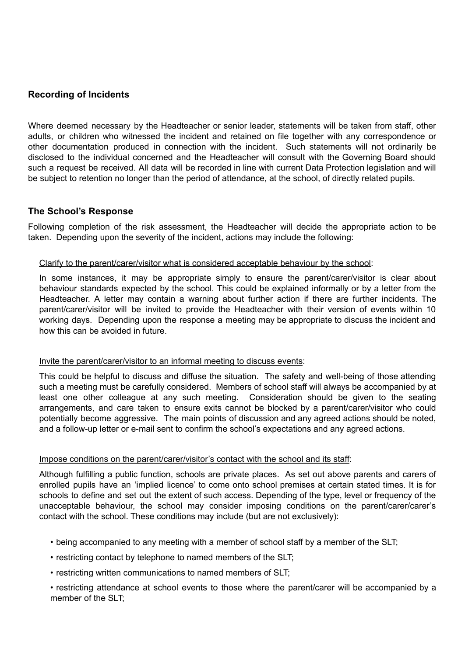#### **Recording of Incidents**

Where deemed necessary by the Headteacher or senior leader, statements will be taken from staff, other adults, or children who witnessed the incident and retained on file together with any correspondence or other documentation produced in connection with the incident. Such statements will not ordinarily be disclosed to the individual concerned and the Headteacher will consult with the Governing Board should such a request be received. All data will be recorded in line with current Data Protection legislation and will be subject to retention no longer than the period of attendance, at the school, of directly related pupils.

#### **The School's Response**

Following completion of the risk assessment, the Headteacher will decide the appropriate action to be taken. Depending upon the severity of the incident, actions may include the following:

#### Clarify to the parent/carer/visitor what is considered acceptable behaviour by the school:

In some instances, it may be appropriate simply to ensure the parent/carer/visitor is clear about behaviour standards expected by the school. This could be explained informally or by a letter from the Headteacher. A letter may contain a warning about further action if there are further incidents. The parent/carer/visitor will be invited to provide the Headteacher with their version of events within 10 working days. Depending upon the response a meeting may be appropriate to discuss the incident and how this can be avoided in future.

#### Invite the parent/carer/visitor to an informal meeting to discuss events:

This could be helpful to discuss and diffuse the situation. The safety and well-being of those attending such a meeting must be carefully considered. Members of school staff will always be accompanied by at least one other colleague at any such meeting. Consideration should be given to the seating arrangements, and care taken to ensure exits cannot be blocked by a parent/carer/visitor who could potentially become aggressive. The main points of discussion and any agreed actions should be noted, and a follow-up letter or e-mail sent to confirm the school's expectations and any agreed actions.

#### Impose conditions on the parent/carer/visitor's contact with the school and its staff:

Although fulfilling a public function, schools are private places. As set out above parents and carers of enrolled pupils have an 'implied licence' to come onto school premises at certain stated times. It is for schools to define and set out the extent of such access. Depending of the type, level or frequency of the unacceptable behaviour, the school may consider imposing conditions on the parent/carer/carer's contact with the school. These conditions may include (but are not exclusively):

- being accompanied to any meeting with a member of school staff by a member of the SLT;
- restricting contact by telephone to named members of the SLT;
- restricting written communications to named members of SLT;

• restricting attendance at school events to those where the parent/carer will be accompanied by a member of the SLT;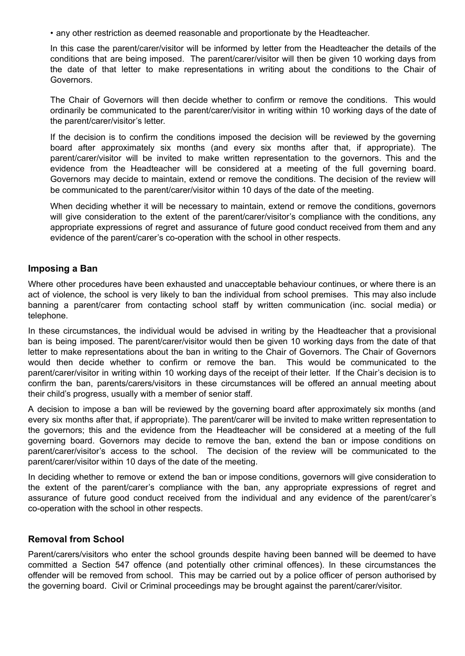• any other restriction as deemed reasonable and proportionate by the Headteacher.

In this case the parent/carer/visitor will be informed by letter from the Headteacher the details of the conditions that are being imposed. The parent/carer/visitor will then be given 10 working days from the date of that letter to make representations in writing about the conditions to the Chair of Governors.

The Chair of Governors will then decide whether to confirm or remove the conditions. This would ordinarily be communicated to the parent/carer/visitor in writing within 10 working days of the date of the parent/carer/visitor's letter.

If the decision is to confirm the conditions imposed the decision will be reviewed by the governing board after approximately six months (and every six months after that, if appropriate). The parent/carer/visitor will be invited to make written representation to the governors. This and the evidence from the Headteacher will be considered at a meeting of the full governing board. Governors may decide to maintain, extend or remove the conditions. The decision of the review will be communicated to the parent/carer/visitor within 10 days of the date of the meeting.

When deciding whether it will be necessary to maintain, extend or remove the conditions, governors will give consideration to the extent of the parent/carer/visitor's compliance with the conditions, any appropriate expressions of regret and assurance of future good conduct received from them and any evidence of the parent/carer's co-operation with the school in other respects.

#### **Imposing a Ban**

Where other procedures have been exhausted and unacceptable behaviour continues, or where there is an act of violence, the school is very likely to ban the individual from school premises. This may also include banning a parent/carer from contacting school staff by written communication (inc. social media) or telephone.

In these circumstances, the individual would be advised in writing by the Headteacher that a provisional ban is being imposed. The parent/carer/visitor would then be given 10 working days from the date of that letter to make representations about the ban in writing to the Chair of Governors. The Chair of Governors would then decide whether to confirm or remove the ban. This would be communicated to the parent/carer/visitor in writing within 10 working days of the receipt of their letter. If the Chair's decision is to confirm the ban, parents/carers/visitors in these circumstances will be offered an annual meeting about their child's progress, usually with a member of senior staff.

A decision to impose a ban will be reviewed by the governing board after approximately six months (and every six months after that, if appropriate). The parent/carer will be invited to make written representation to the governors; this and the evidence from the Headteacher will be considered at a meeting of the full governing board. Governors may decide to remove the ban, extend the ban or impose conditions on parent/carer/visitor's access to the school. The decision of the review will be communicated to the parent/carer/visitor within 10 days of the date of the meeting.

In deciding whether to remove or extend the ban or impose conditions, governors will give consideration to the extent of the parent/carer's compliance with the ban, any appropriate expressions of regret and assurance of future good conduct received from the individual and any evidence of the parent/carer's co-operation with the school in other respects.

#### **Removal from School**

Parent/carers/visitors who enter the school grounds despite having been banned will be deemed to have committed a Section 547 offence (and potentially other criminal offences). In these circumstances the offender will be removed from school. This may be carried out by a police officer of person authorised by the governing board. Civil or Criminal proceedings may be brought against the parent/carer/visitor.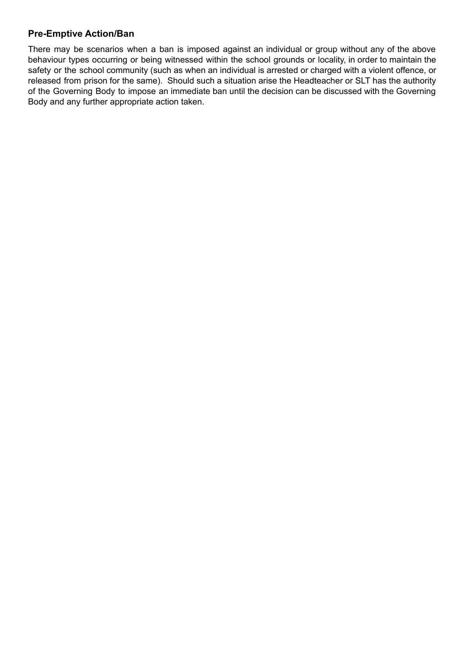# **Pre-Emptive Action/Ban**

There may be scenarios when a ban is imposed against an individual or group without any of the above behaviour types occurring or being witnessed within the school grounds or locality, in order to maintain the safety or the school community (such as when an individual is arrested or charged with a violent offence, or released from prison for the same). Should such a situation arise the Headteacher or SLT has the authority of the Governing Body to impose an immediate ban until the decision can be discussed with the Governing Body and any further appropriate action taken.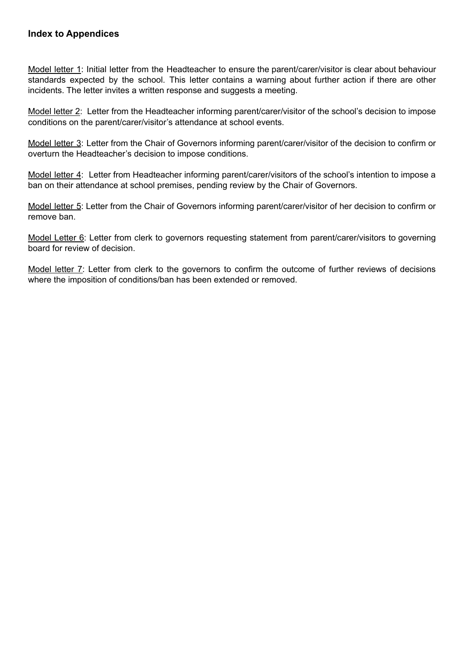#### **Index to Appendices**

Model letter 1: Initial letter from the Headteacher to ensure the parent/carer/visitor is clear about behaviour standards expected by the school. This letter contains a warning about further action if there are other incidents. The letter invites a written response and suggests a meeting.

Model letter 2: Letter from the Headteacher informing parent/carer/visitor of the school's decision to impose conditions on the parent/carer/visitor's attendance at school events.

Model letter 3: Letter from the Chair of Governors informing parent/carer/visitor of the decision to confirm or overturn the Headteacher's decision to impose conditions.

Model letter 4: Letter from Headteacher informing parent/carer/visitors of the school's intention to impose a ban on their attendance at school premises, pending review by the Chair of Governors.

Model letter 5: Letter from the Chair of Governors informing parent/carer/visitor of her decision to confirm or remove ban.

Model Letter 6: Letter from clerk to governors requesting statement from parent/carer/visitors to governing board for review of decision.

Model letter 7: Letter from clerk to the governors to confirm the outcome of further reviews of decisions where the imposition of conditions/ban has been extended or removed.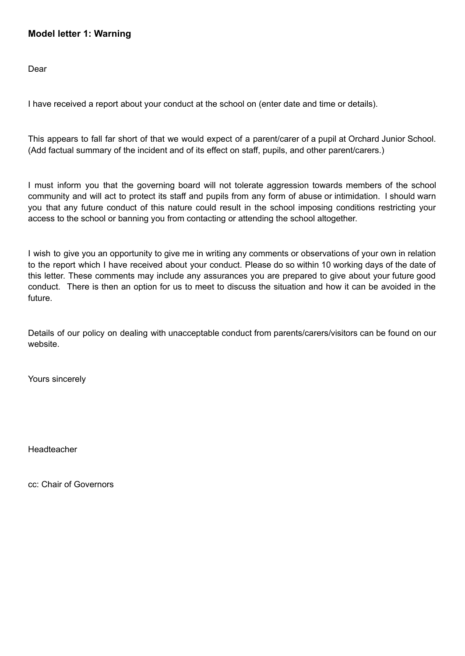# **Model letter 1: Warning**

Dear

I have received a report about your conduct at the school on (enter date and time or details).

This appears to fall far short of that we would expect of a parent/carer of a pupil at Orchard Junior School. (Add factual summary of the incident and of its effect on staff, pupils, and other parent/carers.)

I must inform you that the governing board will not tolerate aggression towards members of the school community and will act to protect its staff and pupils from any form of abuse or intimidation. I should warn you that any future conduct of this nature could result in the school imposing conditions restricting your access to the school or banning you from contacting or attending the school altogether.

I wish to give you an opportunity to give me in writing any comments or observations of your own in relation to the report which I have received about your conduct. Please do so within 10 working days of the date of this letter. These comments may include any assurances you are prepared to give about your future good conduct. There is then an option for us to meet to discuss the situation and how it can be avoided in the future.

Details of our policy on dealing with unacceptable conduct from parents/carers/visitors can be found on our website.

Yours sincerely

Headteacher

cc: Chair of Governors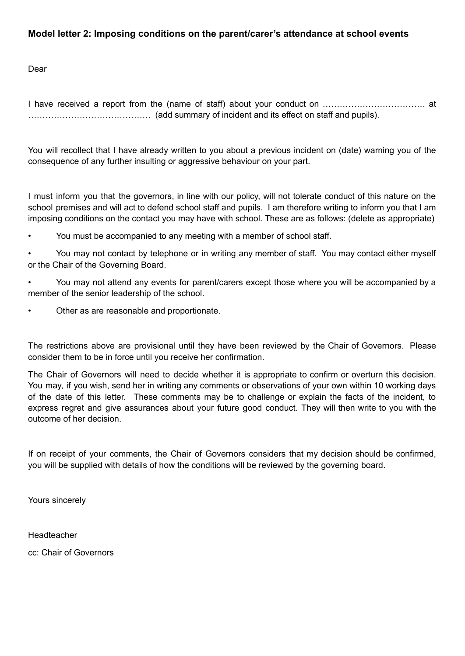# **Model letter 2: Imposing conditions on the parent/carer's attendance at school events**

Dear

I have received a report from the (name of staff) about your conduct on ……………………………… at ……………………………………. (add summary of incident and its effect on staff and pupils).

You will recollect that I have already written to you about a previous incident on (date) warning you of the consequence of any further insulting or aggressive behaviour on your part.

I must inform you that the governors, in line with our policy, will not tolerate conduct of this nature on the school premises and will act to defend school staff and pupils. I am therefore writing to inform you that I am imposing conditions on the contact you may have with school. These are as follows: (delete as appropriate)

• You must be accompanied to any meeting with a member of school staff.

• You may not contact by telephone or in writing any member of staff. You may contact either myself or the Chair of the Governing Board.

• You may not attend any events for parent/carers except those where you will be accompanied by a member of the senior leadership of the school.

Other as are reasonable and proportionate.

The restrictions above are provisional until they have been reviewed by the Chair of Governors. Please consider them to be in force until you receive her confirmation.

The Chair of Governors will need to decide whether it is appropriate to confirm or overturn this decision. You may, if you wish, send her in writing any comments or observations of your own within 10 working days of the date of this letter. These comments may be to challenge or explain the facts of the incident, to express regret and give assurances about your future good conduct. They will then write to you with the outcome of her decision.

If on receipt of your comments, the Chair of Governors considers that my decision should be confirmed, you will be supplied with details of how the conditions will be reviewed by the governing board.

Yours sincerely

Headteacher

cc: Chair of Governors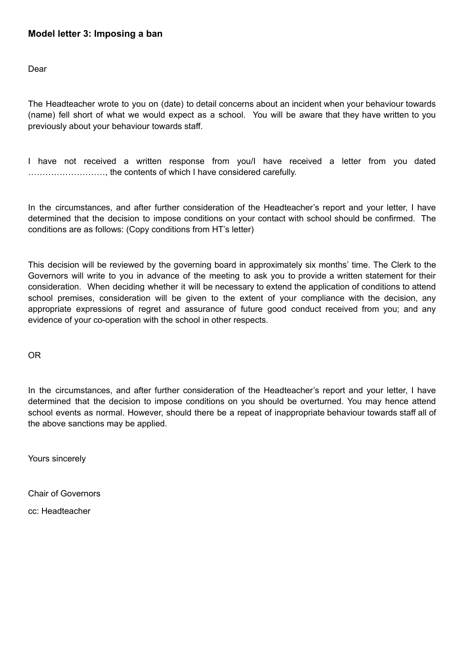# **Model letter 3: Imposing a ban**

Dear

The Headteacher wrote to you on (date) to detail concerns about an incident when your behaviour towards (name) fell short of what we would expect as a school. You will be aware that they have written to you previously about your behaviour towards staff.

I have not received a written response from you/I have received a letter from you dated ………………………, the contents of which I have considered carefully.

In the circumstances, and after further consideration of the Headteacher's report and your letter, I have determined that the decision to impose conditions on your contact with school should be confirmed. The conditions are as follows: (Copy conditions from HT's letter)

This decision will be reviewed by the governing board in approximately six months' time. The Clerk to the Governors will write to you in advance of the meeting to ask you to provide a written statement for their consideration. When deciding whether it will be necessary to extend the application of conditions to attend school premises, consideration will be given to the extent of your compliance with the decision, any appropriate expressions of regret and assurance of future good conduct received from you; and any evidence of your co-operation with the school in other respects.

OR

In the circumstances, and after further consideration of the Headteacher's report and your letter, I have determined that the decision to impose conditions on you should be overturned. You may hence attend school events as normal. However, should there be a repeat of inappropriate behaviour towards staff all of the above sanctions may be applied.

Yours sincerely

Chair of Governors

cc: Headteacher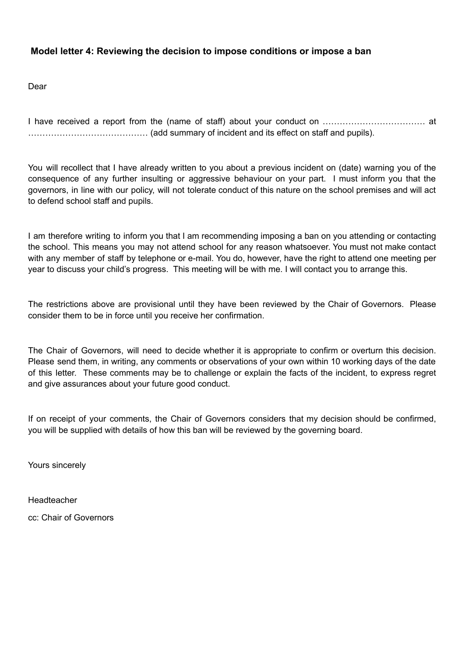# **Model letter 4: Reviewing the decision to impose conditions or impose a ban**

#### Dear

I have received a report from the (name of staff) about your conduct on ……………………………… at …………………………………… (add summary of incident and its effect on staff and pupils).

You will recollect that I have already written to you about a previous incident on (date) warning you of the consequence of any further insulting or aggressive behaviour on your part. I must inform you that the governors, in line with our policy, will not tolerate conduct of this nature on the school premises and will act to defend school staff and pupils.

I am therefore writing to inform you that I am recommending imposing a ban on you attending or contacting the school. This means you may not attend school for any reason whatsoever. You must not make contact with any member of staff by telephone or e-mail. You do, however, have the right to attend one meeting per year to discuss your child's progress. This meeting will be with me. I will contact you to arrange this.

The restrictions above are provisional until they have been reviewed by the Chair of Governors. Please consider them to be in force until you receive her confirmation.

The Chair of Governors, will need to decide whether it is appropriate to confirm or overturn this decision. Please send them, in writing, any comments or observations of your own within 10 working days of the date of this letter. These comments may be to challenge or explain the facts of the incident, to express regret and give assurances about your future good conduct.

If on receipt of your comments, the Chair of Governors considers that my decision should be confirmed, you will be supplied with details of how this ban will be reviewed by the governing board.

Yours sincerely

Headteacher

cc: Chair of Governors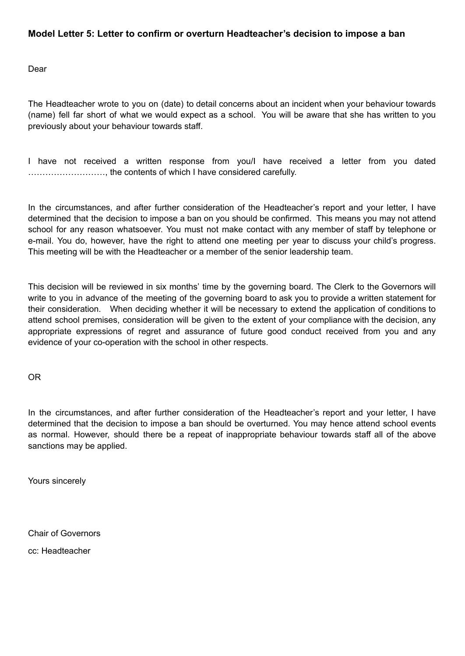#### **Model Letter 5: Letter to confirm or overturn Headteacher's decision to impose a ban**

Dear

The Headteacher wrote to you on (date) to detail concerns about an incident when your behaviour towards (name) fell far short of what we would expect as a school. You will be aware that she has written to you previously about your behaviour towards staff.

I have not received a written response from you/I have received a letter from you dated ………………………, the contents of which I have considered carefully.

In the circumstances, and after further consideration of the Headteacher's report and your letter, I have determined that the decision to impose a ban on you should be confirmed. This means you may not attend school for any reason whatsoever. You must not make contact with any member of staff by telephone or e-mail. You do, however, have the right to attend one meeting per year to discuss your child's progress. This meeting will be with the Headteacher or a member of the senior leadership team.

This decision will be reviewed in six months' time by the governing board. The Clerk to the Governors will write to you in advance of the meeting of the governing board to ask you to provide a written statement for their consideration. When deciding whether it will be necessary to extend the application of conditions to attend school premises, consideration will be given to the extent of your compliance with the decision, any appropriate expressions of regret and assurance of future good conduct received from you and any evidence of your co-operation with the school in other respects.

OR

In the circumstances, and after further consideration of the Headteacher's report and your letter, I have determined that the decision to impose a ban should be overturned. You may hence attend school events as normal. However, should there be a repeat of inappropriate behaviour towards staff all of the above sanctions may be applied.

Yours sincerely

Chair of Governors cc: Headteacher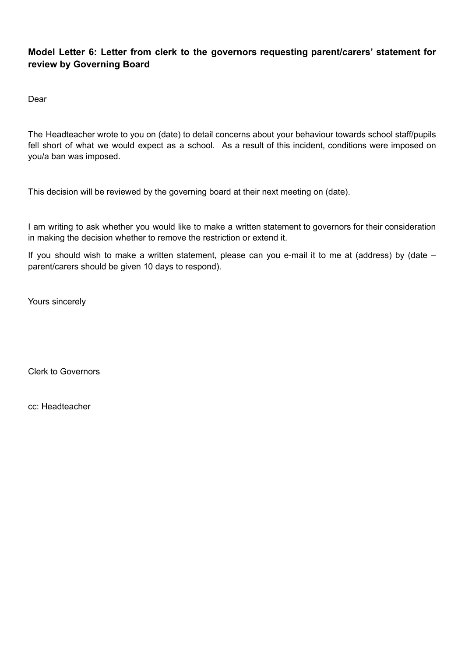# **Model Letter 6: Letter from clerk to the governors requesting parent/carers' statement for review by Governing Board**

Dear

The Headteacher wrote to you on (date) to detail concerns about your behaviour towards school staff/pupils fell short of what we would expect as a school. As a result of this incident, conditions were imposed on you/a ban was imposed.

This decision will be reviewed by the governing board at their next meeting on (date).

I am writing to ask whether you would like to make a written statement to governors for their consideration in making the decision whether to remove the restriction or extend it.

If you should wish to make a written statement, please can you e-mail it to me at (address) by (date – parent/carers should be given 10 days to respond).

Yours sincerely

Clerk to Governors

cc: Headteacher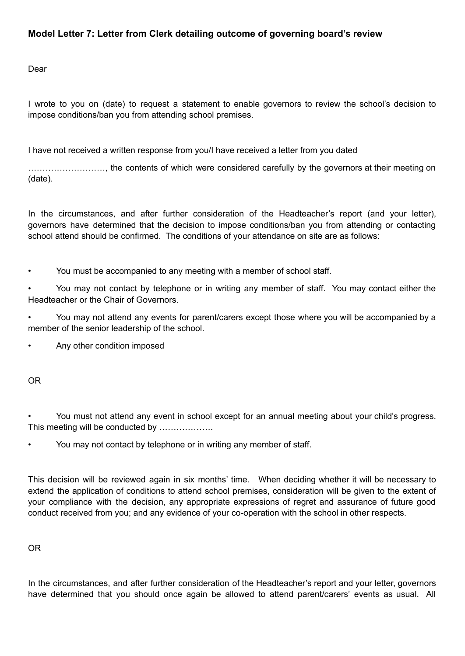# **Model Letter 7: Letter from Clerk detailing outcome of governing board's review**

Dear

I wrote to you on (date) to request a statement to enable governors to review the school's decision to impose conditions/ban you from attending school premises.

I have not received a written response from you/I have received a letter from you dated

………………………, the contents of which were considered carefully by the governors at their meeting on (date).

In the circumstances, and after further consideration of the Headteacher's report (and your letter), governors have determined that the decision to impose conditions/ban you from attending or contacting school attend should be confirmed. The conditions of your attendance on site are as follows:

• You must be accompanied to any meeting with a member of school staff.

• You may not contact by telephone or in writing any member of staff. You may contact either the Headteacher or the Chair of Governors.

• You may not attend any events for parent/carers except those where you will be accompanied by a member of the senior leadership of the school.

• Any other condition imposed

OR

• You must not attend any event in school except for an annual meeting about your child's progress. This meeting will be conducted by ……………….

You may not contact by telephone or in writing any member of staff.

This decision will be reviewed again in six months' time. When deciding whether it will be necessary to extend the application of conditions to attend school premises, consideration will be given to the extent of your compliance with the decision, any appropriate expressions of regret and assurance of future good conduct received from you; and any evidence of your co-operation with the school in other respects.

OR

In the circumstances, and after further consideration of the Headteacher's report and your letter, governors have determined that you should once again be allowed to attend parent/carers' events as usual. All